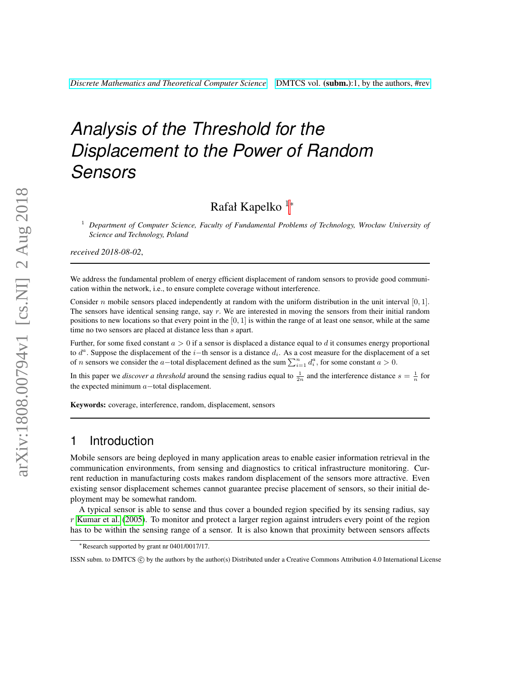# *Analysis of the Threshold for the Displacement to the Power of Random Sensors*

# Rafał Kapelko <sup>1</sup><sup>∗</sup>

<sup>1</sup> *Department of Computer Science, Faculty of Fundamental Problems of Technology, Wrocław University of Science and Technology, Poland*

*received 2018-08-02*,

We address the fundamental problem of energy efficient displacement of random sensors to provide good communication within the network, i.e., to ensure complete coverage without interference.

Consider n mobile sensors placed independently at random with the uniform distribution in the unit interval  $[0, 1]$ . The sensors have identical sensing range, say  $r$ . We are interested in moving the sensors from their initial random positions to new locations so that every point in the  $[0, 1]$  is within the range of at least one sensor, while at the same time no two sensors are placed at distance less than  $s$  apart.

Further, for some fixed constant  $a > 0$  if a sensor is displaced a distance equal to d it consumes energy proportional to  $d^a$ . Suppose the displacement of the i–th sensor is a distance  $d_i$ . As a cost measure for the displacement of a set of *n* sensors we consider the a–total displacement defined as the sum  $\sum_{i=1}^{n} d_i^a$ , for some constant  $a > 0$ .

In this paper we *discover a threshold* around the sensing radius equal to  $\frac{1}{2n}$  and the interference distance  $s = \frac{1}{n}$  for the expected minimum  $a$  -total displacement.

Keywords: coverage, interference, random, displacement, sensors

# 1 Introduction

Mobile sensors are being deployed in many application areas to enable easier information retrieval in the communication environments, from sensing and diagnostics to critical infrastructure monitoring. Current reduction in manufacturing costs makes random displacement of the sensors more attractive. Even existing sensor displacement schemes cannot guarantee precise placement of sensors, so their initial deployment may be somewhat random.

A typical sensor is able to sense and thus cover a bounded region specified by its sensing radius, say  $r$  [Kumar et al.](#page-15-0) [\(2005\)](#page-15-0). To monitor and protect a larger region against intruders every point of the region has to be within the sensing range of a sensor. It is also known that proximity between sensors affects

<sup>∗</sup>Research supported by grant nr 0401/0017/17.

ISSN subm. to DMTCS  $\circled{c}$  by the authors by the author(s) Distributed under a Creative Commons Attribution 4.0 International License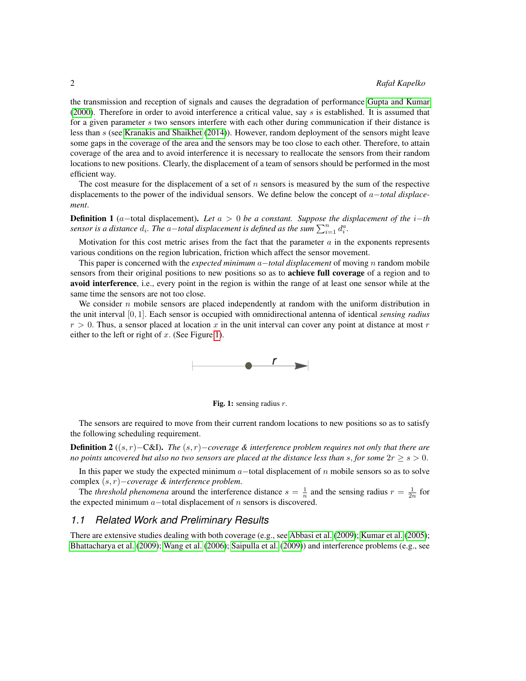the transmission and reception of signals and causes the degradation of performance [Gupta and Kumar](#page-15-1) [\(2000\)](#page-15-1). Therefore in order to avoid interference a critical value, say  $s$  is established. It is assumed that for a given parameter s two sensors interfere with each other during communication if their distance is less than s (see [Kranakis and Shaikhet](#page-15-2) [\(2014\)](#page-15-2)). However, random deployment of the sensors might leave some gaps in the coverage of the area and the sensors may be too close to each other. Therefore, to attain coverage of the area and to avoid interference it is necessary to reallocate the sensors from their random locations to new positions. Clearly, the displacement of a team of sensors should be performed in the most efficient way.

The cost measure for the displacement of a set of  $n$  sensors is measured by the sum of the respective displacements to the power of the individual sensors. We define below the concept of a−*total displacement*.

<span id="page-1-0"></span>Definition 1 (a−total displacement). *Let* a > 0 *be a constant. Suppose the displacement of the* i−*th sensor is a distance*  $d_i$ . The  $a$ -total displacement is defined as the sum  $\sum_{i=1}^{n} d_i^a$ .

Motivation for this cost metric arises from the fact that the parameter  $\alpha$  in the exponents represents various conditions on the region lubrication, friction which affect the sensor movement.

This paper is concerned with the *expected minimum* a−*total displacement* of moving n random mobile sensors from their original positions to new positions so as to **achieve full coverage** of a region and to avoid interference, i.e., every point in the region is within the range of at least one sensor while at the same time the sensors are not too close.

We consider  $n$  mobile sensors are placed independently at random with the uniform distribution in the unit interval [0, 1]. Each sensor is occupied with omnidirectional antenna of identical *sensing radius*  $r > 0$ . Thus, a sensor placed at location x in the unit interval can cover any point at distance at most r either to the left or right of  $x$ . (See Figure [1\)](#page-1-0).





The sensors are required to move from their current random locations to new positions so as to satisfy the following scheduling requirement.

Definition 2 ((s, r)−C&I). *The* (s, r)−*coverage & interference problem requires not only that there are no points uncovered but also no two sensors are placed at the distance less than s, for some*  $2r \geq s > 0$ *.* 

In this paper we study the expected minimum  $a$  –total displacement of n mobile sensors so as to solve complex (s, r)−*coverage & interference problem*.

The *threshold phenomena* around the interference distance  $s = \frac{1}{n}$  and the sensing radius  $r = \frac{1}{2n}$  for the expected minimum  $a$ -total displacement of  $n$  sensors is discovered.

### *1.1 Related Work and Preliminary Results*

There are extensive studies dealing with both coverage (e.g., see [Abbasi et al.](#page-14-0) [\(2009\)](#page-14-0); [Kumar et al.](#page-15-0) [\(2005\)](#page-15-0); [Bhattacharya et al.](#page-14-1) [\(2009\)](#page-14-1); [Wang et al.](#page-16-0) [\(2006\)](#page-16-0); [Saipulla et al.](#page-16-1) [\(2009\)](#page-16-1)) and interference problems (e.g., see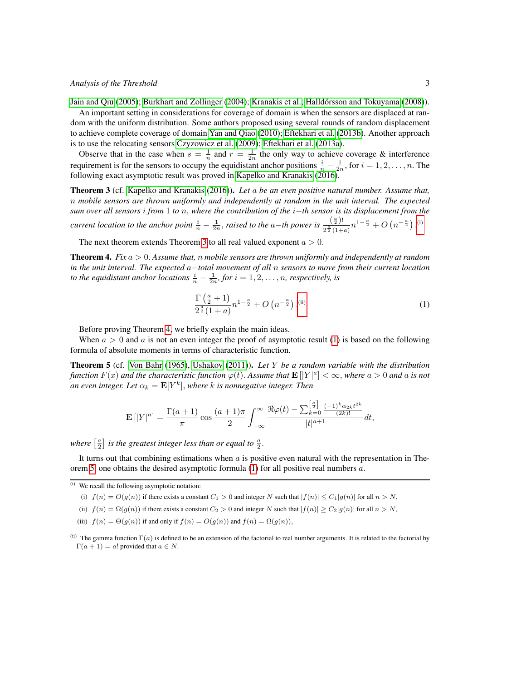[Jain and Qiu](#page-15-3) [\(2005\)](#page-15-3); [Burkhart and Zollinger](#page-15-4) [\(2004\)](#page-15-4); [Kranakis et al.;](#page-15-5) [Halldorsson and Tokuyama](#page-15-6) [\(2008\)](#page-15-6)). ´

An important setting in considerations for coverage of domain is when the sensors are displaced at random with the uniform distribution. Some authors proposed using several rounds of random displacement to achieve complete coverage of domain [Yan and Qiao](#page-16-2) [\(2010\)](#page-16-2); [Eftekhari et al.](#page-15-7) [\(2013b\)](#page-15-7). Another approach is to use the relocating sensors [Czyzowicz et al.](#page-15-8) [\(2009\)](#page-15-8); [Eftekhari et al.](#page-15-9) [\(2013a\)](#page-15-9).

Observe that in the case when  $s = \frac{1}{n}$  and  $r = \frac{1}{2n}$  the only way to achieve coverage & interference requirement is for the sensors to occupy the equidistant anchor positions  $\frac{i}{n} - \frac{1}{2n}$ , for  $i = 1, 2, ..., n$ . The following exact asymptotic result was proved in [Kapelko and Kranakis](#page-15-10) [\(2016\)](#page-15-10).

<span id="page-2-1"></span>Theorem 3 (cf. [Kapelko and Kranakis](#page-15-10) [\(2016\)](#page-15-10)). *Let* a *be an even positive natural number. Assume that,* n *mobile sensors are thrown uniformly and independently at random in the unit interval. The expected sum over all sensors* i *from* 1 *to* n, *where the contribution of the* i−*th sensor is its displacement from the current location to the anchor point*  $\frac{i}{n} - \frac{1}{2n}$ *, raised to the a–th power is*  $\frac{\left(\frac{a}{2}\right)!}{2^{\frac{a}{2}}(1+1)}$  $\frac{\left(\frac{\alpha}{2}\right)!}{2^{\frac{\alpha}{2}}(1+a)}n^{1-\frac{a}{2}}+O\left(n^{-\frac{a}{2}}\right).^{(i)}$  $\frac{\left(\frac{\alpha}{2}\right)!}{2^{\frac{\alpha}{2}}(1+a)}n^{1-\frac{a}{2}}+O\left(n^{-\frac{a}{2}}\right).^{(i)}$  $\frac{\left(\frac{\alpha}{2}\right)!}{2^{\frac{\alpha}{2}}(1+a)}n^{1-\frac{a}{2}}+O\left(n^{-\frac{a}{2}}\right).^{(i)}$ 

The next theorem extends Theorem [3](#page-2-1) to all real valued exponent  $a > 0$ .

<span id="page-2-3"></span>Theorem 4. *Fix* a > 0. *Assume that,* n *mobile sensors are thrown uniformly and independently at random in the unit interval. The expected* a−*total movement of all* n *sensors to move from their current location to the equidistant anchor locations*  $\frac{i}{n} - \frac{1}{2n}$ *, for*  $i = 1, 2, ..., n$ *, respectively, is* 

<span id="page-2-4"></span>
$$
\frac{\Gamma\left(\frac{a}{2}+1\right)}{2^{\frac{a}{2}}(1+a)}n^{1-\frac{a}{2}} + O\left(n^{-\frac{a}{2}}\right).^{(ii)}
$$
\n(1)

Before proving Theorem [4,](#page-2-3) we briefly explain the main ideas.

When  $a > 0$  and a is not an even integer the proof of asymptotic result [\(1\)](#page-2-4) is based on the following formula of absolute moments in terms of characteristic function.

<span id="page-2-5"></span>Theorem 5 (cf. [Von Bahr](#page-16-3) [\(1965\)](#page-16-3), [Ushakov](#page-16-4) [\(2011\)](#page-16-4)). *Let* Y *be a random variable with the distribution function*  $F(x)$  and the characteristic function  $\varphi(t)$ . Assume that  $\mathbf{E}[|Y|^a] < \infty$ , where  $a > 0$  and  $a$  is not an even integer. Let  $\alpha_k = \mathbf{E}[Y^k],$  where  $k$  is nonnegative integer. Then

$$
\mathbf{E}\left[|Y|^a\right] = \frac{\Gamma(a+1)}{\pi} \cos \frac{(a+1)\pi}{2} \int_{-\infty}^{\infty} \frac{\Re \varphi(t) - \sum_{k=0}^{\left[\frac{a}{2}\right]} \frac{(-1)^k \alpha_{2k} t^{2k}}{(2k)!}}{|t|^{a+1}} dt,
$$

where  $\left[\frac{a}{2}\right]$  is the greatest integer less than or equal to  $\frac{a}{2}$ .

It turns out that combining estimations when  $a$  is positive even natural with the representation in The-orem [5,](#page-2-5) one obtains the desired asymptotic formula  $(1)$  for all positive real numbers  $a$ .

<span id="page-2-0"></span>(i) We recall the following asymptotic notation:

- (i)  $f(n) = O(g(n))$  if there exists a constant  $C_1 > 0$  and integer N such that  $|f(n)| \leq C_1 |g(n)|$  for all  $n > N$ ,
- (ii)  $f(n) = \Omega(g(n))$  if there exists a constant  $C_2 > 0$  and integer N such that  $|f(n)| \geq C_2|g(n)|$  for all  $n > N$ ,
- (iii)  $f(n) = \Theta(g(n))$  if and only if  $f(n) = O(g(n))$  and  $f(n) = \Omega(g(n))$ ,

<span id="page-2-2"></span><sup>(</sup>ii) The gamma function  $\Gamma(a)$  is defined to be an extension of the factorial to real number arguments. It is related to the factorial by  $\Gamma(a+1) = a!$  provided that  $a \in N$ .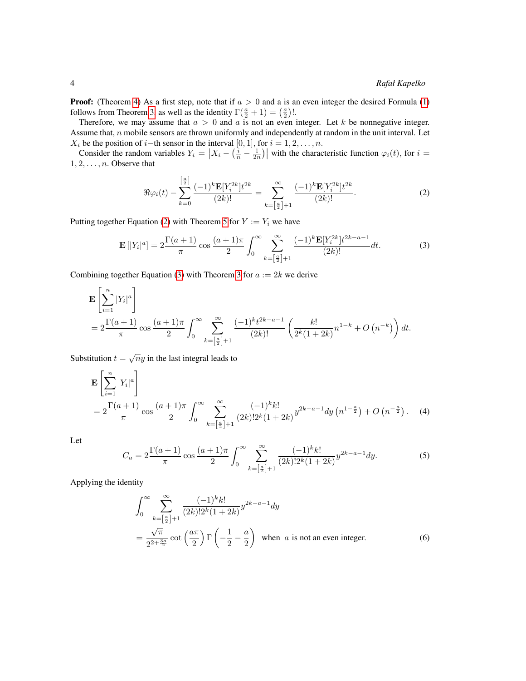**Proof:** (Theorem [4\)](#page-2-3) As a first step, note that if  $a > 0$  and a is an even integer the desired Formula [\(1\)](#page-2-4) follows from Theorem [3,](#page-2-1) as well as the identity  $\Gamma(\frac{a}{2} + 1) = (\frac{a}{2})!$ .

Therefore, we may assume that  $a > 0$  and a is not an even integer. Let k be nonnegative integer. Assume that, n mobile sensors are thrown uniformly and independently at random in the unit interval. Let  $X_i$  be the position of *i*−th sensor in the interval [0, 1], for  $i = 1, 2, \ldots, n$ .

Consider the random variables  $Y_i = \left| X_i - \left( \frac{i}{n} - \frac{1}{2n} \right) \right|$  with the characteristic function  $\varphi_i(t)$ , for  $i =$  $1, 2, \ldots, n$ . Observe that

<span id="page-3-1"></span><span id="page-3-0"></span>
$$
\Re \varphi_i(t) - \sum_{k=0}^{\left[\frac{a}{2}\right]} \frac{(-1)^k \mathbf{E}[Y_i^{2k}] t^{2k}}{(2k)!} = \sum_{k=\left[\frac{a}{2}\right]+1}^{\infty} \frac{(-1)^k \mathbf{E}[Y_i^{2k}] t^{2k}}{(2k)!}.
$$
 (2)

Putting together Equation [\(2\)](#page-3-0) with Theorem [5](#page-2-5) for  $Y := Y_i$  we have

$$
\mathbf{E}\left[|Y_i|^a\right] = 2\frac{\Gamma(a+1)}{\pi}\cos\frac{(a+1)\pi}{2}\int_0^\infty \sum_{k=\left[\frac{a}{2}\right]+1}^\infty \frac{(-1)^k \mathbf{E}[Y_i^{2k}] t^{2k-a-1}}{(2k)!} dt.
$$
 (3)

Combining together Equation [\(3\)](#page-3-1) with Theorem [3](#page-2-1) for  $a := 2k$  we derive

$$
\mathbf{E}\left[\sum_{i=1}^{n}|Y_i|^a\right] = 2\frac{\Gamma(a+1)}{\pi}\cos\frac{(a+1)\pi}{2}\int_0^\infty \sum_{k=\left[\frac{a}{2}\right]+1}^\infty \frac{(-1)^k t^{2k-a-1}}{(2k)!} \left(\frac{k!}{2^k(1+2k)}n^{1-k} + O\left(n^{-k}\right)\right)dt.
$$

Substitution  $t = \sqrt{n}y$  in the last integral leads to

$$
\mathbf{E}\left[\sum_{i=1}^{n}|Y_{i}|^{a}\right]
$$
\n
$$
=2\frac{\Gamma(a+1)}{\pi}\cos\frac{(a+1)\pi}{2}\int_{0}^{\infty}\sum_{k=\left[\frac{a}{2}\right]+1}^{\infty}\frac{(-1)^{k}k!}{(2k)!2^{k}(1+2k)}y^{2k-a-1}dy\left(n^{1-\frac{a}{2}}\right)+O\left(n^{-\frac{a}{2}}\right). \quad (4)
$$

<span id="page-3-4"></span>Let

$$
C_a = 2\frac{\Gamma(a+1)}{\pi} \cos\frac{(a+1)\pi}{2} \int_0^\infty \sum_{k=\left[\frac{a}{2}\right]+1}^\infty \frac{(-1)^k k!}{(2k)! 2^k (1+2k)} y^{2k-a-1} dy.
$$
 (5)

Applying the identity

<span id="page-3-3"></span><span id="page-3-2"></span>
$$
\int_0^\infty \sum_{k=\left[\frac{a}{2}\right]+1}^\infty \frac{(-1)^k k!}{(2k)! 2^k (1+2k)} y^{2k-a-1} dy
$$
  
=  $\frac{\sqrt{\pi}}{2^{2+\frac{3a}{2}}} \cot\left(\frac{a\pi}{2}\right) \Gamma\left(-\frac{1}{2}-\frac{a}{2}\right)$  when *a* is not an even integer. (6)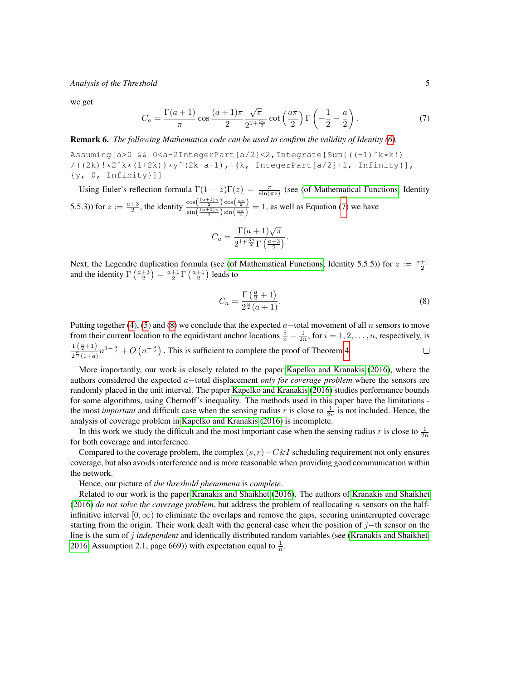<span id="page-4-0"></span>we get

$$
C_a = \frac{\Gamma(a+1)}{\pi} \cos \frac{(a+1)\pi}{2} \frac{\sqrt{\pi}}{2^{1+\frac{3a}{2}}} \cot \left(\frac{a\pi}{2}\right) \Gamma\left(-\frac{1}{2} - \frac{a}{2}\right). \tag{7}
$$

Remark 6. *The following Mathematica code can be used to confirm the validity of Identity [\(6\)](#page-3-2).*

Assuming[a>0 && 0<a-2IntegerPart[a/2]<2,Integrate[Sum[((-1)ˆk\*k!)  $/((2k)! *2^k * (1+2k)) *y^2(2k-a-1), {k, IntegerPart[a/2]+1, Infinity]},$ {y, 0, Infinity}]]

Using Euler's reflection formula  $\Gamma(1-z)\Gamma(z) = \frac{\pi}{\sin(\pi z)}$  (see [\(of Mathematical Functions,](#page-15-11) Identity 5.5.3)) for  $z := \frac{a+3}{2}$ , the identity  $\frac{\cos(\frac{(a+1)\pi}{2})\cos(\frac{a\pi}{2})}{\sin(\frac{(a+3)\pi}{2})\sin(\frac{a\pi}{2})}$  $\frac{\cos(\frac{\pi}{2})\cos(\frac{\pi}{2})}{\sin(\frac{(\pi+3)\pi}{2})\sin(\frac{\pi\pi}{2})} = 1$ , as well as Equation [\(7\)](#page-4-0) we have

$$
C_a = \frac{\Gamma(a+1)\sqrt{\pi}}{2^{1+\frac{3a}{2}}\Gamma\left(\frac{a+3}{2}\right)}.
$$

Next, the Legendre duplication formula (see [\(of Mathematical Functions,](#page-15-11) Identity 5.5.5)) for  $z := \frac{a+1}{2}$ and the identity  $\Gamma\left(\frac{a+3}{2}\right) = \frac{a+1}{2}\Gamma\left(\frac{a+1}{2}\right)$  leads to

<span id="page-4-1"></span>
$$
C_a = \frac{\Gamma\left(\frac{a}{2} + 1\right)}{2^{\frac{a}{2}}(a+1)}.\tag{8}
$$

Putting together [\(4\)](#page-3-3), [\(5\)](#page-3-4) and [\(8\)](#page-4-1) we conclude that the expected  $a$  –total movement of all n sensors to move from their current location to the equidistant anchor locations  $\frac{i}{n} - \frac{1}{2n}$ , for  $i = 1, 2, ..., n$ , respectively, is  $\Gamma\left(\frac{a}{2}+1\right)$  $\frac{\Gamma(\frac{n}{2}+1)}{2^{\frac{\alpha}{2}}(1+a)}n^{1-\frac{\alpha}{2}}+O\left(n^{-\frac{\alpha}{2}}\right)$ . This is sufficient to complete the proof of Theorem [4.](#page-2-3)  $\Box$ 

More importantly, our work is closely related to the paper [Kapelko and Kranakis](#page-15-10) [\(2016\)](#page-15-10), where the authors considered the expected a−total displacement *only for coverage problem* where the sensors are randomly placed in the unit interval. The paper [Kapelko and Kranakis](#page-15-10) [\(2016\)](#page-15-10) studies performance bounds for some algorithms, using Chernoff's inequality. The methods used in this paper have the limitations the most *important* and difficult case when the sensing radius r is close to  $\frac{1}{2n}$  is not included. Hence, the analysis of coverage problem in [Kapelko and Kranakis](#page-15-10) [\(2016\)](#page-15-10) is incomplete.

In this work we study the difficult and the most important case when the sensing radius r is close to  $\frac{1}{2n}$ for both coverage and interference.

Compared to the coverage problem, the complex  $(s, r) - C\&I$  scheduling requirement not only ensures coverage, but also avoids interference and is more reasonable when providing good communication within the network.

Hence, our picture of *the threshold phenomena* is *complete*.

Related to our work is the paper [Kranakis and Shaikhet](#page-15-12) [\(2016\)](#page-15-12). The authors of [Kranakis and Shaikhet](#page-15-12) [\(2016\)](#page-15-12) *do not solve the coverage problem*, but address the problem of reallocating n sensors on the halfinfinitive interval  $[0, \infty)$  to eliminate the overlaps and remove the gaps, securing uninterrupted coverage starting from the origin. Their work dealt with the general case when the position of j−th sensor on the line is the sum of j *independent* and identically distributed random variables (see [\(Kranakis and Shaikhet,](#page-15-12) [2016,](#page-15-12) Assumption 2.1, page 669)) with expectation equal to  $\frac{1}{n}$ .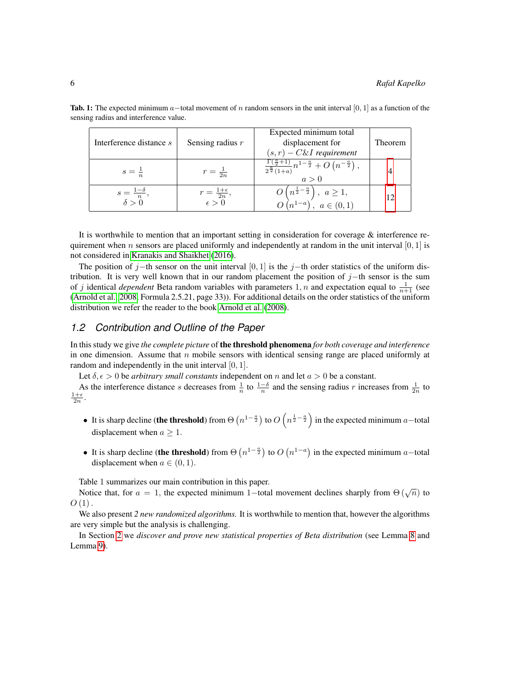| Interference distance s                  | Sensing radius $r$                             | Expected minimum total<br>displacement for<br>$(s,r) - C\&I$ requirement                                        | Theorem |
|------------------------------------------|------------------------------------------------|-----------------------------------------------------------------------------------------------------------------|---------|
| $s=\pm$                                  | $r=\frac{1}{2n}$                               | $\frac{1\,( \frac{a}{2}+1)}{2^{\frac{a}{2}}\,( 1+a)}n^{1-\frac{a}{2}}+O\left( n^{-\frac{a}{2}}\right) ,$<br>a>0 |         |
| $s = \frac{1-\delta}{n}$<br>$\delta > 0$ | $r = \frac{1+\epsilon}{2n},$<br>$\epsilon > 0$ | $O\left(n^{\frac{1}{2}-\frac{a}{2}}\right), a \geq 1,$<br>$O\left(n^{1-a}\right), a \in (0,1)$                  | 12      |

**Tab. 1:** The expected minimum a–total movement of n random sensors in the unit interval [0, 1] as a function of the sensing radius and interference value.

It is worthwhile to mention that an important setting in consideration for coverage  $\&$  interference requirement when n sensors are placed uniformly and independently at random in the unit interval  $[0, 1]$  is not considered in [Kranakis and Shaikhet](#page-15-12) [\(2016\)](#page-15-12).

The position of j−th sensor on the unit interval [0, 1] is the j−th order statistics of the uniform distribution. It is very well known that in our random placement the position of  $j$ −th sensor is the sum of j identical *dependent* Beta random variables with parameters 1, n and expectation equal to  $\frac{1}{n+1}$  (see [\(Arnold et al., 2008,](#page-14-2) Formula 2.5.21, page 33)). For additional details on the order statistics of the uniform distribution we refer the reader to the book [Arnold et al.](#page-14-2) [\(2008\)](#page-14-2).

### *1.2 Contribution and Outline of the Paper*

In this study we give *the complete picture* of the threshold phenomena *for both coverage and interference* in one dimension. Assume that  $n$  mobile sensors with identical sensing range are placed uniformly at random and independently in the unit interval [0, 1].

Let  $\delta, \epsilon > 0$  be *arbitrary small constants* independent on n and let  $a > 0$  be a constant.

As the interference distance s decreases from  $\frac{1}{n}$  to  $\frac{1-\delta}{n}$  and the sensing radius r increases from  $\frac{1}{2n}$  to  $\frac{1+\epsilon}{2n}$ .

- It is sharp decline (the threshold) from  $\Theta(n^{1-\frac{\alpha}{2}})$  to  $O(n^{\frac{1}{2}-\frac{\alpha}{2}})$  in the expected minimum a–total displacement when  $a \geq 1$ .
- It is sharp decline (the threshold) from  $\Theta(n^{1-\frac{\alpha}{2}})$  to  $O(n^{1-\alpha})$  in the expected minimum a–total displacement when  $a \in (0, 1)$ .

Table 1 summarizes our main contribution in this paper.

Notice that, for  $a = 1$ , the expected minimum 1–total movement declines sharply from  $\Theta(\sqrt{n})$  to  $O(1)$ .

We also present 2 new randomized algorithms. It is worthwhile to mention that, however the algorithms are very simple but the analysis is challenging.

In Section [2](#page-6-0) we *discover and prove new statistical properties of Beta distribution* (see Lemma [8](#page-7-0) and Lemma [9\)](#page-7-1).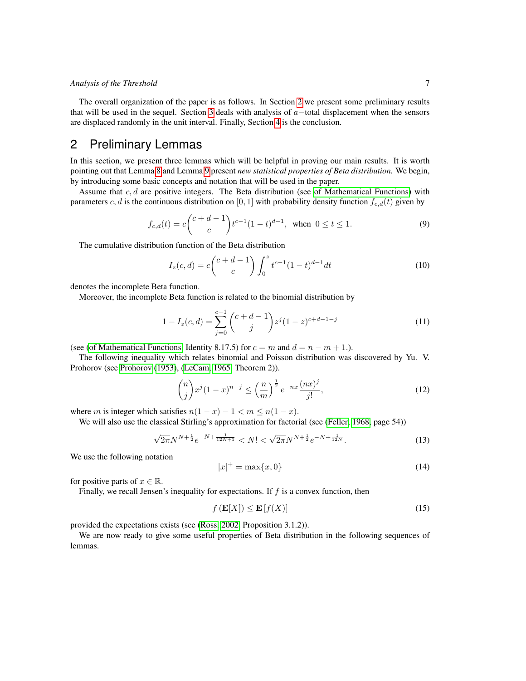The overall organization of the paper is as follows. In Section [2](#page-6-0) we present some preliminary results that will be used in the sequel. Section [3](#page-7-2) deals with analysis of  $a$ -total displacement when the sensors are displaced randomly in the unit interval. Finally, Section [4](#page-14-3) is the conclusion.

# <span id="page-6-0"></span>2 Preliminary Lemmas

In this section, we present three lemmas which will be helpful in proving our main results. It is worth pointing out that Lemma [8](#page-7-0) and Lemma [9](#page-7-1) present *new statistical properties of Beta distribution.* We begin, by introducing some basic concepts and notation that will be used in the paper.

Assume that  $c, d$  are positive integers. The Beta distribution (see [of Mathematical Functions\)](#page-15-11) with parameters c, d is the continuous distribution on [0, 1] with probability density function  $f_{c,d}(t)$  given by

$$
f_{c,d}(t) = c \binom{c+d-1}{c} t^{c-1} (1-t)^{d-1}, \text{ when } 0 \le t \le 1.
$$
 (9)

The cumulative distribution function of the Beta distribution

<span id="page-6-2"></span><span id="page-6-1"></span>
$$
I_z(c,d) = c \binom{c+d-1}{c} \int_0^z t^{c-1} (1-t)^{d-1} dt \tag{10}
$$

denotes the incomplete Beta function.

Moreover, the incomplete Beta function is related to the binomial distribution by

$$
1 - I_z(c,d) = \sum_{j=0}^{c-1} {c+d-1 \choose j} z^j (1-z)^{c+d-1-j}
$$
 (11)

(see [\(of Mathematical Functions,](#page-15-11) Identity 8.17.5) for  $c = m$  and  $d = n - m + 1$ .).

The following inequality which relates binomial and Poisson distribution was discovered by Yu. V. Prohorov (see [Prohorov](#page-15-13) [\(1953\)](#page-15-13), [\(LeCam, 1965,](#page-15-14) Theorem 2)).

<span id="page-6-3"></span>
$$
\binom{n}{j} x^j (1-x)^{n-j} \le \left(\frac{n}{m}\right)^{\frac{1}{2}} e^{-nx} \frac{(nx)^j}{j!},\tag{12}
$$

where m is integer which satisfies  $n(1-x) - 1 < m \le n(1-x)$ .

We will also use the classical Stirling's approximation for factorial (see [\(Feller, 1968,](#page-15-15) page 54))

$$
\sqrt{2\pi}N^{N+\frac{1}{2}}e^{-N+\frac{1}{12N+1}} < N! < \sqrt{2\pi}N^{N+\frac{1}{2}}e^{-N+\frac{1}{12N}}.\tag{13}
$$

We use the following notation

<span id="page-6-5"></span><span id="page-6-4"></span>
$$
|x|^{+} = \max\{x, 0\}
$$
 (14)

for positive parts of  $x \in \mathbb{R}$ .

Finally, we recall Jensen's inequality for expectations. If  $f$  is a convex function, then

$$
f\left(\mathbf{E}[X]\right) \le \mathbf{E}\left[f(X)\right] \tag{15}
$$

provided the expectations exists (see [\(Ross, 2002,](#page-15-16) Proposition 3.1.2)).

We are now ready to give some useful properties of Beta distribution in the following sequences of lemmas.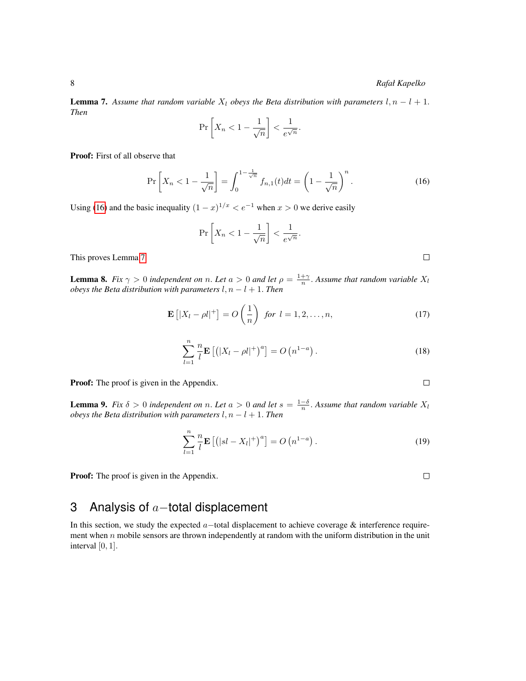<span id="page-7-4"></span>**Lemma 7.** Assume that random variable  $X_l$  obeys the Beta distribution with parameters  $l, n - l + 1$ . *Then*

<span id="page-7-3"></span>
$$
\Pr\left[X_n < 1 - \frac{1}{\sqrt{n}}\right] < \frac{1}{e^{\sqrt{n}}}.
$$

Proof: First of all observe that

$$
\Pr\left[X_n < 1 - \frac{1}{\sqrt{n}}\right] = \int_0^{1 - \frac{1}{\sqrt{n}}} f_{n,1}(t)dt = \left(1 - \frac{1}{\sqrt{n}}\right)^n. \tag{16}
$$

Using [\(16\)](#page-7-3) and the basic inequality  $(1 - x)^{1/x} < e^{-1}$  when  $x > 0$  we derive easily

<span id="page-7-7"></span>
$$
\Pr\left[X_n < 1 - \frac{1}{\sqrt{n}}\right] < \frac{1}{e^{\sqrt{n}}}.
$$

This proves Lemma [7.](#page-7-4)

<span id="page-7-5"></span><span id="page-7-0"></span>**Lemma 8.** *Fix*  $\gamma > 0$  *independent on n*. *Let*  $a > 0$  *and let*  $\rho = \frac{1+\gamma}{n}$ . *Assume that random variable*  $X_l$ *obeys the Beta distribution with parameters*  $l, n - l + 1$ . *Then* 

$$
\mathbf{E}\left[|X_l - \rho l|^+\right] = O\left(\frac{1}{n}\right) \text{ for } l = 1, 2, \dots, n,
$$
\n(17)

$$
\sum_{l=1}^{n} \frac{n}{l} \mathbf{E} \left[ \left( |X_l - \rho l|^+ \right)^a \right] = O \left( n^{1-a} \right). \tag{18}
$$

Proof: The proof is given in the Appendix.

<span id="page-7-1"></span>**Lemma 9.** *Fix*  $\delta > 0$  *independent on n*. *Let*  $a > 0$  *and let*  $s = \frac{1-\delta}{n}$ . *Assume that random variable*  $X_l$ *obeys the Beta distribution with parameters*  $l, n - l + 1$ . *Then* 

<span id="page-7-6"></span>
$$
\sum_{l=1}^{n} \frac{n}{l} \mathbf{E} \left[ \left( |sl - X_l|^+ \right)^a \right] = O \left( n^{1-a} \right). \tag{19}
$$

**Proof:** The proof is given in the Appendix.

# <span id="page-7-2"></span>3 Analysis of  $a$ -total displacement

In this section, we study the expected a−total displacement to achieve coverage & interference requirement when  $n$  mobile sensors are thrown independently at random with the uniform distribution in the unit interval  $[0, 1]$ .

 $\Box$ 

 $\Box$ 

 $\Box$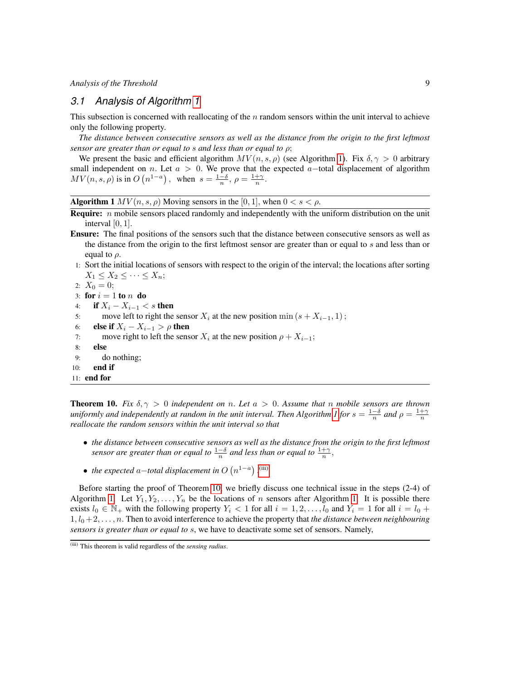## *3.1 Analysis of Algorithm [1](#page-8-0)*

This subsection is concerned with reallocating of the  $n$  random sensors within the unit interval to achieve only the following property.

*The distance between consecutive sensors as well as the distance from the origin to the first leftmost sensor are greater than or equal to* s *and less than or equal to* ρ;

We present the basic and efficient algorithm  $MV(n, s, \rho)$  (see Algorithm [1\)](#page-8-0). Fix  $\delta, \gamma > 0$  arbitrary small independent on n. Let  $a > 0$ . We prove that the expected a–total displacement of algorithm  $MV(n, s, \rho)$  is in  $O(n^{1-a})$ , when  $s = \frac{1-\delta}{n}, \rho = \frac{1+\gamma}{n}$ .

**Algorithm 1**  $MV(n, s, \rho)$  Moving sensors in the [0, 1], when  $0 < s < \rho$ .

- <span id="page-8-0"></span>**Require:**  $n$  mobile sensors placed randomly and independently with the uniform distribution on the unit interval  $[0, 1]$ .
- Ensure: The final positions of the sensors such that the distance between consecutive sensors as well as the distance from the origin to the first leftmost sensor are greater than or equal to s and less than or equal to  $\rho$ .
- 1: Sort the initial locations of sensors with respect to the origin of the interval; the locations after sorting  $X_1 \leq X_2 \leq \cdots \leq X_n;$

```
2: X_0 = 0;
3: for i = 1 to n do
4: if X_i - X_{i-1} < s then
5: move left to right the sensor X_i at the new position min (s + X_{i-1}, 1);
6: else if X_i - X_{i-1} > \rho then
7: move right to left the sensor X_i at the new position \rho + X_{i-1};
8: else
9: do nothing;
10: end if
11: end for
```
<span id="page-8-2"></span>**Theorem 10.** Fix  $\delta, \gamma > 0$  independent on n. Let  $a > 0$ . Assume that n mobile sensors are thrown *uniformly and independently at random in the unit interval. Then Algorithm [1](#page-8-0) for*  $s = \frac{1-\delta}{n}$  *and*  $\rho = \frac{1+\gamma}{n}$ *reallocate the random sensors within the unit interval so that*

- *the distance between consecutive sensors as well as the distance from the origin to the first leftmost* sensor are greater than or equal to  $\frac{1-\delta}{n}$  and less than or equal to  $\frac{1+\gamma}{n}$ ,
- the expected a–total displacement in  $O(n^{1-a})$  . [\(iii\)](#page-8-1)

Before starting the proof of Theorem [10,](#page-8-2) we briefly discuss one technical issue in the steps (2-4) of Algorithm [1.](#page-8-0) Let  $Y_1, Y_2, \ldots, Y_n$  be the locations of n sensors after Algorithm 1. It is possible there exists  $l_0 \in \mathbb{N}_+$  with the following property  $Y_i < 1$  for all  $i = 1, 2, \ldots, l_0$  and  $Y_i = 1$  for all  $i = l_0 +$  $1, l_0+2, \ldots, n$ . Then to avoid interference to achieve the property that *the distance between neighbouring sensors is greater than or equal to* s, we have to deactivate some set of sensors. Namely,

<span id="page-8-1"></span><sup>(</sup>iii) This theorem is valid regardless of the *sensing radius*.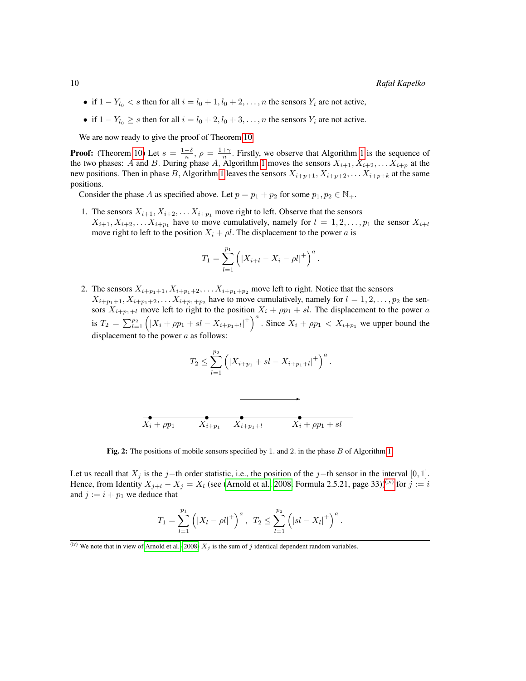- if  $1 Y_{l_0} < s$  then for all  $i = l_0 + 1, l_0 + 2, \ldots, n$  the sensors  $Y_i$  are not active,
- if  $1 Y_{l_0} \ge s$  then for all  $i = l_0 + 2, l_0 + 3, \ldots, n$  the sensors  $Y_i$  are not active.

We are now ready to give the proof of Theorem [10.](#page-8-2)

**Proof:** (Theorem [10\)](#page-8-2) Let  $s = \frac{1-\delta}{n}$ ,  $\rho = \frac{1+\gamma}{n}$ . Firstly, we observe that Algorithm [1](#page-8-0) is the sequence of the two phases: A and B. During phase A, Algorithm [1](#page-8-0) moves the sensors  $X_{i+1}, X_{i+2}, \ldots X_{i+p}$  at the new positions. Then in phase B, Algorithm [1](#page-8-0) leaves the sensors  $X_{i+p+1}, X_{i+p+2}, \ldots, X_{i+p+k}$  at the same positions.

Consider the phase A as specified above. Let  $p = p_1 + p_2$  for some  $p_1, p_2 \in \mathbb{N}_+$ .

1. The sensors  $X_{i+1}, X_{i+2}, \ldots X_{i+p_1}$  move right to left. Observe that the sensors  $X_{i+1}, X_{i+2}, \ldots X_{i+p_1}$  have to move cumulatively, namely for  $l = 1, 2, \ldots, p_1$  the sensor  $X_{i+l}$ move right to left to the position  $X_i + \rho l$ . The displacement to the power a is

$$
T_1 = \sum_{l=1}^{p_1} (|X_{i+l} - X_i - \rho l|^+)^a.
$$

2. The sensors  $X_{i+p_1+1}, X_{i+p_1+2}, \ldots X_{i+p_1+p_2}$  move left to right. Notice that the sensors  $X_{i+p_1+1}, X_{i+p_1+2}, \ldots X_{i+p_1+p_2}$  have to move cumulatively, namely for  $l = 1, 2, \ldots, p_2$  the sensors  $X_{i+p_1+l}$  move left to right to the position  $X_i + \rho p_1 + sl$ . The displacement to the power a is  $T_2 = \sum_{l=1}^{p_2} (|X_i + \rho p_1 + sl - X_{i+p_1+l}|^+)^\alpha$ . Since  $X_i + \rho p_1 < X_{i+p_1}$  we upper bound the displacement to the power  $a$  as follows:

$$
T_2 \le \sum_{l=1}^{p_2} \left( |X_{i+p_1} + sl - X_{i+p_1+l}|^+\right)^a.
$$

 $\ddot{\phantom{a}}$ 



Fig. 2: The positions of mobile sensors specified by [1.](#page-8-0) and 2. in the phase B of Algorithm 1.

Let us recall that  $X_j$  is the j−th order statistic, i.e., the position of the j−th sensor in the interval [0, 1]. Hence, from Identity  $X_{j+l} - X_j = X_l$  (see [\(Arnold et al., 2008,](#page-14-2) Formula 2.5.21, page 33))<sup>[\(iv\)](#page-9-0)</sup> for  $j := i$ and  $j := i + p_1$  we deduce that

$$
T_1 = \sum_{l=1}^{p_1} \left( |X_l - \rho l|^+ \right)^a, \ T_2 \le \sum_{l=1}^{p_2} \left( |sl - X_l|^+ \right)^a.
$$

<span id="page-9-0"></span><sup>(</sup>iv) We note that in view of [Arnold et al.](#page-14-2) [\(2008\)](#page-14-2)  $X_j$  is the sum of j identical dependent random variables.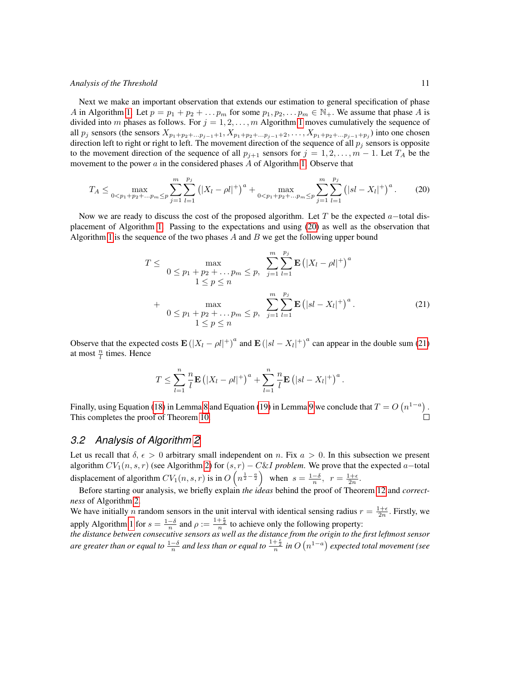Next we make an important observation that extends our estimation to general specification of phase A in Algorithm [1.](#page-8-0) Let  $p = p_1 + p_2 + \ldots p_m$  for some  $p_1, p_2, \ldots p_m \in \mathbb{N}_+$ . We assume that phase A is divided into m phases as follows. For  $j = 1, 2, ..., m$  $j = 1, 2, ..., m$  $j = 1, 2, ..., m$  Algorithm 1 moves cumulatively the sequence of all  $p_j$  sensors (the sensors  $X_{p_1+p_2+\dots+p_{j-1}+1}, X_{p_1+p_2+\dots+p_{j-1}+2}, \dots, X_{p_1+p_2+\dots+p_j+1}$ ) into one chosen direction left to right or right to left. The movement direction of the sequence of all  $p_j$  sensors is opposite to the movement direction of the sequence of all  $p_{j+1}$  sensors for  $j = 1, 2, \ldots, m-1$ . Let  $T_A$  be the movement to the power  $a$  in the considered phases  $A$  of Algorithm [1.](#page-8-0) Observe that

$$
T_A \le \max_{0 < p_1 + p_2 + \dots + p_m \le p} \sum_{j=1}^m \sum_{l=1}^{p_j} \left( |X_l - \rho l|^+ \right)^a + \max_{0 < p_1 + p_2 + \dots + p_m \le p} \sum_{j=1}^m \sum_{l=1}^{p_j} \left( |sl - X_l|^+ \right)^a. \tag{20}
$$

Now we are ready to discuss the cost of the proposed algorithm. Let T be the expected  $a$ -total displacement of Algorithm [1.](#page-8-0) Passing to the expectations and using [\(20\)](#page-10-0) as well as the observation that Algorithm [1](#page-8-0) is the sequence of the two phases  $A$  and  $B$  we get the following upper bound

<span id="page-10-0"></span>
$$
T \leq \max_{\begin{array}{l}0 \leq p_1 + p_2 + \dots + p_m \leq p, \\1 \leq p \leq n\end{array}} \sum_{j=1}^m \sum_{l=1}^{p_j} \mathbf{E} \left( |X_l - \rho l|^+ \right)^a
$$
  
+ 
$$
\max_{\begin{array}{l}0 \leq p_1 + p_2 + \dots + p_m \leq p, \\1 \leq p \leq n\end{array}} \sum_{j=1}^m \sum_{l=1}^{p_j} \mathbf{E} \left( |sl - X_l|^+ \right)^a.
$$
 (21)

Observe that the expected costs  $\mathbf{E}(|X_l - \rho l|^+)^a$  and  $\mathbf{E}(|sl - X_l|^+)^a$  can appear in the double sum [\(21\)](#page-10-1) at most  $\frac{n}{l}$  times. Hence

<span id="page-10-1"></span>
$$
T \leq \sum_{l=1}^n \frac{n}{l} \mathbf{E} \left( |X_l - \rho l|^+ \right)^a + \sum_{l=1}^n \frac{n}{l} \mathbf{E} \left( |sl - X_l|^+ \right)^a.
$$

Finally, using Equation [\(18\)](#page-7-5) in Lemma [8](#page-7-0) and Equation [\(19\)](#page-7-6) in Lemma [9](#page-7-1) we conclude that  $T = O(n^{1-a})$ . This completes the proof of Theorem [10.](#page-8-2)

### *3.2 Analysis of Algorithm [2](#page-11-0)*

Let us recall that  $\delta$ ,  $\epsilon > 0$  arbitrary small independent on n. Fix  $a > 0$ . In this subsection we present algorithm  $CV_1(n, s, r)$  (see Algorithm [2\)](#page-11-0) for  $(s, r) - C\&I$  *problem*. We prove that the expected a–total displacement of algorithm  $CV_1(n, s, r)$  is in  $O(n^{\frac{1}{2} - \frac{\alpha}{2}})$  when  $s = \frac{1-\delta}{n}, r = \frac{1+\epsilon}{2n}$ .

Before starting our analysis, we briefly explain *the ideas* behind the proof of Theorem [12](#page-13-0) and *correctness* of Algorithm [2.](#page-11-0)

We have initially *n* random sensors in the unit interval with identical sensing radius  $r = \frac{1+\epsilon}{2n}$ . Firstly, we apply Algorithm [1](#page-8-0) for  $s = \frac{1-\delta}{n}$  and  $\rho := \frac{1+\frac{\epsilon}{2}}{n}$  to achieve only the following property:

*the distance between consecutive sensors as well as the distance from the origin to the first leftmost sensor are greater than or equal to*  $\frac{1-\delta}{n}$  *and less than or equal to*  $\frac{1+\frac{\epsilon}{2}}{n}$  *in O*  $(n^{1-a})$  *expected total movement (see*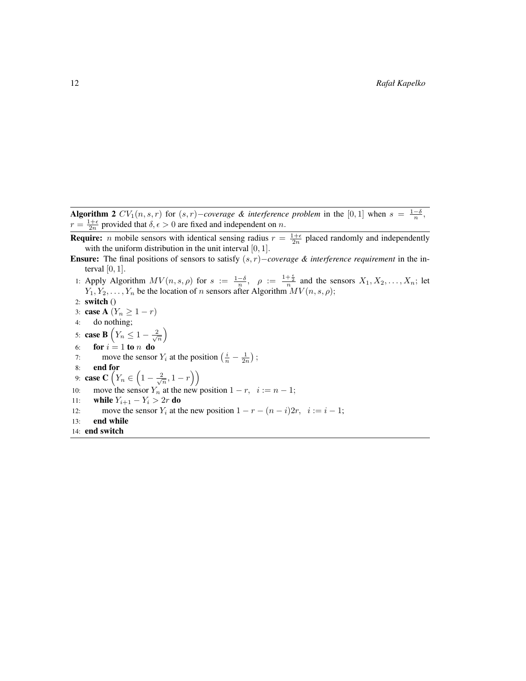Algorithm 2  $CV_1(n, s, r)$  for  $(s, r)$ -coverage & interference problem in the [0, 1] when  $s = \frac{1-\delta}{n}$ ,  $r = \frac{1+\epsilon}{2n}$  provided that  $\delta, \epsilon > 0$  are fixed and independent on n.

<span id="page-11-0"></span>**Require:** *n* mobile sensors with identical sensing radius  $r = \frac{1+\epsilon}{2n}$  placed randomly and independently with the uniform distribution in the unit interval  $[0, 1]$ .

- Ensure: The final positions of sensors to satisfy (s, r)−*coverage & interference requirement* in the interval  $[0, 1]$ .
- 1: Apply Algorithm  $MV(n, s, \rho)$  for  $s := \frac{1-\delta}{n}$ ,  $\rho := \frac{1+\frac{\epsilon}{2}}{n}$  and the sensors  $X_1, X_2, \ldots, X_n$ ; let  $Y_1, Y_2, \ldots, Y_n$  be the location of n sensors after Algorithm  $MV(n, s, \rho);$
- 2: switch ()
- 3: case A  $(Y_n \geq 1 r)$
- 4: do nothing;
- 5: case B  $\left(Y_n \leq 1 \frac{2}{\sqrt{n}}\right)$
- 6: **for**  $i = 1$  to n **do**
- 7: move the sensor  $Y_i$  at the position  $\left(\frac{i}{n} \frac{1}{2n}\right)$ ;
- 8: end for
- 9: **case C**  $(Y_n \in \left(1 \frac{2}{\sqrt{n}}, 1 r\right))$
- 10: move the sensor  $Y_n$  at the new position  $1 r$ ,  $i := n 1$ ;
- 11: **while**  $Y_{i+1} Y_i > 2r$  do
- 12: move the sensor  $Y_i$  at the new position  $1 r (n i)2r$ ,  $i := i 1$ ;
- 13: end while 14: end switch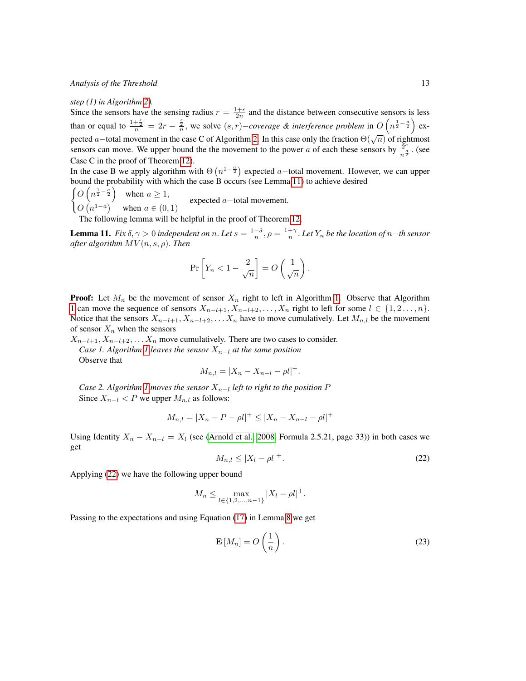#### *step (1) in Algorithm [2\)](#page-11-0).*

Since the sensors have the sensing radius  $r = \frac{1+\epsilon}{2n}$  and the distance between consecutive sensors is less than or equal to  $\frac{1+\frac{6}{2}}{n} = 2r - \frac{\frac{6}{2}}{n}$ , we solve  $(s, r)$ –*coverage & interference problem* in  $O(n^{\frac{1}{2}-\frac{a}{2}})$  ex-pected a–total movement in the case C of Algorithm [2.](#page-11-0) In this case only the fraction  $\Theta(\sqrt{n})$  of rightmost sensors can move. We upper bound the the movement to the power a of each these sensors by  $\frac{2^a}{9}$  $rac{2^a}{n^{\frac{a}{2}}}$ . (see Case C in the proof of Theorem [12\)](#page-13-0).

In the case B we apply algorithm with  $\Theta(n^{1-\frac{\alpha}{2}})$  expected a–total movement. However, we can upper bound the probability with which the case B occurs (see Lemma [11\)](#page-12-0) to achieve desired

 $\left( O\left(n^{\frac{1}{2}-\frac{a}{2}}\right) \right)$  when  $a \geq 1$ ,  $O(n^{1-a})$  when  $a \in (0,1)$ expected a−total movement.

The following lemma will be helpful in the proof of Theorem [12.](#page-13-0)

<span id="page-12-0"></span>**Lemma 11.** *Fix*  $\delta, \gamma > 0$  *independent on n*. Let  $s = \frac{1-\delta}{n}$ ,  $\rho = \frac{1+\gamma}{n}$ . Let  $Y_n$  be the location of n–th sensor *after algorithm* MV (n, s, ρ). *Then*

$$
\Pr\left[Y_n < 1 - \frac{2}{\sqrt{n}}\right] = O\left(\frac{1}{\sqrt{n}}\right).
$$

**Proof:** Let  $M_n$  be the movement of sensor  $X_n$  right to left in Algorithm [1.](#page-8-0) Observe that Algorithm [1](#page-8-0) can move the sequence of sensors  $X_{n-l+1}, X_{n-l+2}, \ldots, X_n$  right to left for some  $l \in \{1, 2, \ldots, n\}$ . Notice that the sensors  $X_{n-l+1}, X_{n-l+2}, \ldots, X_n$  have to move cumulatively. Let  $M_{n,l}$  be the movement of sensor  $X_n$  when the sensors

 $X_{n-l+1}, X_{n-l+2}, \ldots, X_n$  move cumulatively. There are two cases to consider. *Case [1](#page-8-0). Algorithm 1 leaves the sensor*  $X_{n-1}$  *at the same position* 

Observe that

$$
M_{n,l} = |X_n - X_{n-l} - \rho l|^+.
$$

*Case 2. Algorithm [1](#page-8-0) moves the sensor*  $X_{n-l}$  *left to right to the position* P Since  $X_{n-l} < P$  we upper  $M_{n,l}$  as follows:

$$
M_{n,l} = |X_n - P - \rho l|^+ \le |X_n - X_{n-l} - \rho l|^+
$$

<span id="page-12-1"></span>Using Identity  $X_n - X_{n-l} = X_l$  (see [\(Arnold et al., 2008,](#page-14-2) Formula 2.5.21, page 33)) in both cases we get

$$
M_{n,l} \le |X_l - \rho l|^+.
$$
\n<sup>(22)</sup>

Applying [\(22\)](#page-12-1) we have the following upper bound

$$
M_n \le \max_{l \in \{1, 2, \dots, n-1\}} |X_l - \rho l|^+.
$$

Passing to the expectations and using Equation [\(17\)](#page-7-7) in Lemma [8](#page-7-0) we get

<span id="page-12-2"></span>
$$
\mathbf{E}\left[M_n\right] = O\left(\frac{1}{n}\right). \tag{23}
$$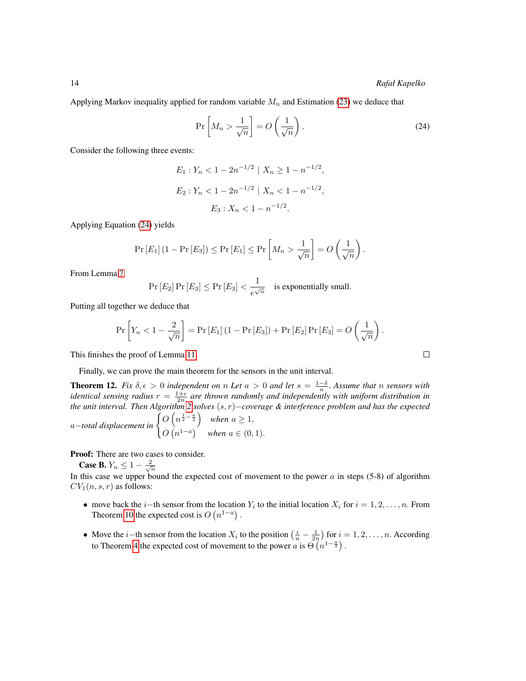Applying Markov inequality applied for random variable  $M_n$  and Estimation [\(23\)](#page-12-2) we deduce that

<span id="page-13-1"></span>
$$
\Pr\left[M_n > \frac{1}{\sqrt{n}}\right] = O\left(\frac{1}{\sqrt{n}}\right). \tag{24}
$$

Consider the following three events:

$$
E_1: Y_n < 1 - 2n^{-1/2} \mid X_n \ge 1 - n^{-1/2},
$$
  
\n
$$
E_2: Y_n < 1 - 2n^{-1/2} \mid X_n < 1 - n^{-1/2},
$$
  
\n
$$
E_3: X_n < 1 - n^{-1/2}.
$$

Applying Equation [\(24\)](#page-13-1) yields

$$
\Pr\left[E_1\right](1 - \Pr\left[E_3\right]) \le \Pr\left[E_1\right] \le \Pr\left[M_n > \frac{1}{\sqrt{n}}\right] = O\left(\frac{1}{\sqrt{n}}\right).
$$

From Lemma [7](#page-7-4)

 $Pr [E_2] Pr [E_3] \leq Pr [E_3] < \frac{1}{\sqrt{2}}$  $\frac{1}{e^{\sqrt{n}}}$  is exponentially small.

Putting all together we deduce that

$$
\Pr\left[Y_n < 1 - \frac{2}{\sqrt{n}}\right] = \Pr\left[E_1\right]\left(1 - \Pr\left[E_3\right]\right) + \Pr\left[E_2\right]\Pr\left[E_3\right] = O\left(\frac{1}{\sqrt{n}}\right).
$$

This finishes the proof of Lemma [11.](#page-12-0)

Finally, we can prove the main theorem for the sensors in the unit interval.

<span id="page-13-0"></span>**Theorem 12.** *Fix*  $\delta$ ,  $\epsilon > 0$  *independent on* n *Let*  $a > 0$  *and let*  $s = \frac{1-\delta}{n}$ . Assume that n sensors with *identical sensing radius*  $r = \frac{1+\epsilon}{2n}$  are thrown randomly and independently with uniform distribution in *the unit interval. Then Algorithm [2](#page-11-0) solves* (s, r)−*coverage & interference problem and has the expected*

a–total displacement in 
$$
\begin{cases} O(n^{\frac{1}{2}-\frac{a}{2}}) & \text{when } a \geq 1, \\ O(n^{1-a}) & \text{when } a \in (0,1). \end{cases}
$$

Proof: There are two cases to consider.

**Case B.**  $Y_n \le 1 - \frac{2}{\sqrt{n}}$ <br>In this case we upper bound the expected cost of movement to the power a in steps (5-8) of algorithm  $CV_1(n, s, r)$  as follows:

- move back the *i*−th sensor from the location  $Y_i$  to the initial location  $X_i$  for  $i = 1, 2, \ldots, n$ . From Theorem [10](#page-8-2) the expected cost is  $O(n^{1-a})$ .
- Move the *i*−th sensor from the location  $X_i$  to the position  $\left(\frac{i}{n} \frac{1}{2n}\right)$  for  $i = 1, 2, ..., n$ . According to Theorem [4](#page-2-3) the expected cost of movement to the power  $\alpha$  is  $\Theta(n^{1-\frac{\alpha}{2}})$ .

 $\Box$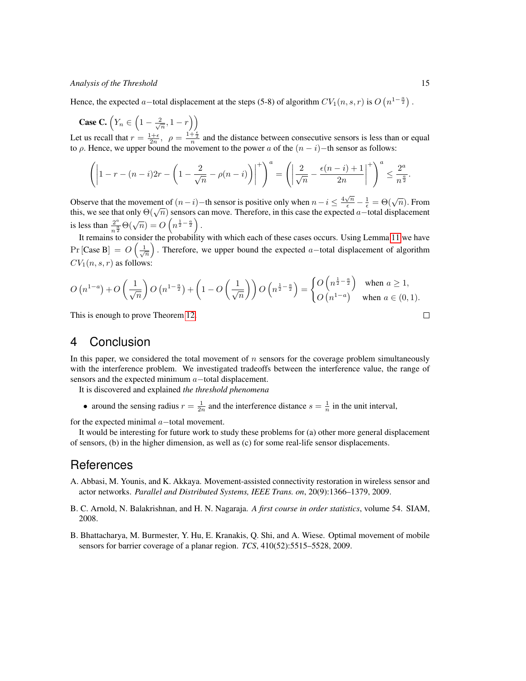Hence, the expected a–total displacement at the steps (5-8) of algorithm  $CV_1(n, s, r)$  is  $O(n^{1-\frac{a}{2}})$ .

**Case C.**  $\left(Y_n \in \left(1 - \frac{2}{\sqrt{n}}, 1 - r\right)\right)$ 

Let us recall that  $r = \frac{1+\epsilon}{2n}$ ,  $\rho = \frac{1+\frac{\epsilon}{2}}{n}$  and the distance between consecutive sensors is less than or equal to  $\rho$ . Hence, we upper bound the movement to the power a of the  $(n - i)$  –th sensor as follows:

$$
\left(\left|1-r-(n-i)2r-\left(1-\frac{2}{\sqrt{n}}-\rho(n-i)\right)\right|^{+}\right)^{a}=\left(\left|\frac{2}{\sqrt{n}}-\frac{\epsilon(n-i)+1}{2n}\right|^{+}\right)^{a}\leq \frac{2^{a}}{n^{\frac{a}{2}}}.
$$

Observe that the movement of  $(n-i)$  – th sensor is positive only when  $n-i \leq \frac{4\sqrt{n}}{\epsilon} - \frac{1}{\epsilon} = \Theta(\sqrt{n})$ . From this, we see that only  $\Theta(\sqrt{n})$  sensors can move. Therefore, in this case the expected a–total displacement is less than  $\frac{2^a}{a}$  $\frac{2^a}{n^{\frac{a}{2}}} \Theta(\sqrt{n}) = O\left(n^{\frac{1}{2}-\frac{a}{2}}\right).$ 

It remains to consider the probability with which each of these cases occurs. Using Lemma [11](#page-12-0) we have  $\Pr[\text{Case B}] = O\left(\frac{1}{\sqrt{n}}\right)$ . Therefore, we upper bound the expected a–total displacement of algorithm  $CV_1(n, s, r)$  as follows:

$$
O\left(n^{1-a}\right) + O\left(\frac{1}{\sqrt{n}}\right)O\left(n^{1-\frac{a}{2}}\right) + \left(1 - O\left(\frac{1}{\sqrt{n}}\right)\right)O\left(n^{\frac{1}{2}-\frac{a}{2}}\right) = \begin{cases} O\left(n^{\frac{1}{2}-\frac{a}{2}}\right) & \text{when } a \ge 1, \\ O\left(n^{1-a}\right) & \text{when } a \in (0,1). \end{cases}
$$

This is enough to prove Theorem [12.](#page-13-0)

## <span id="page-14-3"></span>4 Conclusion

In this paper, we considered the total movement of  $n$  sensors for the coverage problem simultaneously with the interference problem. We investigated tradeoffs between the interference value, the range of sensors and the expected minimum a–total displacement.

It is discovered and explained *the threshold phenomena*

• around the sensing radius  $r = \frac{1}{2n}$  and the interference distance  $s = \frac{1}{n}$  in the unit interval,

for the expected minimal a−total movement.

It would be interesting for future work to study these problems for (a) other more general displacement of sensors, (b) in the higher dimension, as well as (c) for some real-life sensor displacements.

# **References**

- <span id="page-14-0"></span>A. Abbasi, M. Younis, and K. Akkaya. Movement-assisted connectivity restoration in wireless sensor and actor networks. *Parallel and Distributed Systems, IEEE Trans. on*, 20(9):1366–1379, 2009.
- <span id="page-14-2"></span>B. C. Arnold, N. Balakrishnan, and H. N. Nagaraja. *A first course in order statistics*, volume 54. SIAM, 2008.
- <span id="page-14-1"></span>B. Bhattacharya, M. Burmester, Y. Hu, E. Kranakis, Q. Shi, and A. Wiese. Optimal movement of mobile sensors for barrier coverage of a planar region. *TCS*, 410(52):5515–5528, 2009.

 $\Box$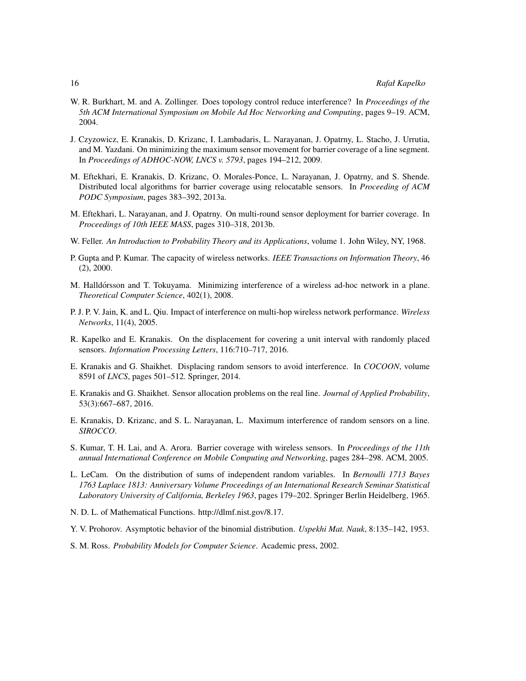- <span id="page-15-4"></span>W. R. Burkhart, M. and A. Zollinger. Does topology control reduce interference? In *Proceedings of the 5th ACM International Symposium on Mobile Ad Hoc Networking and Computing*, pages 9–19. ACM, 2004.
- <span id="page-15-8"></span>J. Czyzowicz, E. Kranakis, D. Krizanc, I. Lambadaris, L. Narayanan, J. Opatrny, L. Stacho, J. Urrutia, and M. Yazdani. On minimizing the maximum sensor movement for barrier coverage of a line segment. In *Proceedings of ADHOC-NOW, LNCS v. 5793*, pages 194–212, 2009.
- <span id="page-15-9"></span>M. Eftekhari, E. Kranakis, D. Krizanc, O. Morales-Ponce, L. Narayanan, J. Opatrny, and S. Shende. Distributed local algorithms for barrier coverage using relocatable sensors. In *Proceeding of ACM PODC Symposium*, pages 383–392, 2013a.
- <span id="page-15-7"></span>M. Eftekhari, L. Narayanan, and J. Opatrny. On multi-round sensor deployment for barrier coverage. In *Proceedings of 10th IEEE MASS*, pages 310–318, 2013b.
- <span id="page-15-15"></span>W. Feller. *An Introduction to Probability Theory and its Applications*, volume 1. John Wiley, NY, 1968.
- <span id="page-15-1"></span>P. Gupta and P. Kumar. The capacity of wireless networks. *IEEE Transactions on Information Theory*, 46 (2), 2000.
- <span id="page-15-6"></span>M. Halldórsson and T. Tokuyama. Minimizing interference of a wireless ad-hoc network in a plane. *Theoretical Computer Science*, 402(1), 2008.
- <span id="page-15-3"></span>P. J. P. V. Jain, K. and L. Qiu. Impact of interference on multi-hop wireless network performance. *Wireless Networks*, 11(4), 2005.
- <span id="page-15-10"></span>R. Kapelko and E. Kranakis. On the displacement for covering a unit interval with randomly placed sensors. *Information Processing Letters*, 116:710–717, 2016.
- <span id="page-15-2"></span>E. Kranakis and G. Shaikhet. Displacing random sensors to avoid interference. In *COCOON*, volume 8591 of *LNCS*, pages 501–512. Springer, 2014.
- <span id="page-15-12"></span>E. Kranakis and G. Shaikhet. Sensor allocation problems on the real line. *Journal of Applied Probability*, 53(3):667–687, 2016.
- <span id="page-15-5"></span>E. Kranakis, D. Krizanc, and S. L. Narayanan, L. Maximum interference of random sensors on a line. *SIROCCO*.
- <span id="page-15-0"></span>S. Kumar, T. H. Lai, and A. Arora. Barrier coverage with wireless sensors. In *Proceedings of the 11th annual International Conference on Mobile Computing and Networking*, pages 284–298. ACM, 2005.
- <span id="page-15-14"></span>L. LeCam. On the distribution of sums of independent random variables. In *Bernoulli 1713 Bayes 1763 Laplace 1813: Anniversary Volume Proceedings of an International Research Seminar Statistical Laboratory University of California, Berkeley 1963*, pages 179–202. Springer Berlin Heidelberg, 1965.
- <span id="page-15-11"></span>N. D. L. of Mathematical Functions. http://dlmf.nist.gov/8.17.
- <span id="page-15-13"></span>Y. V. Prohorov. Asymptotic behavior of the binomial distribution. *Uspekhi Mat. Nauk*, 8:135–142, 1953.
- <span id="page-15-16"></span>S. M. Ross. *Probability Models for Computer Science*. Academic press, 2002.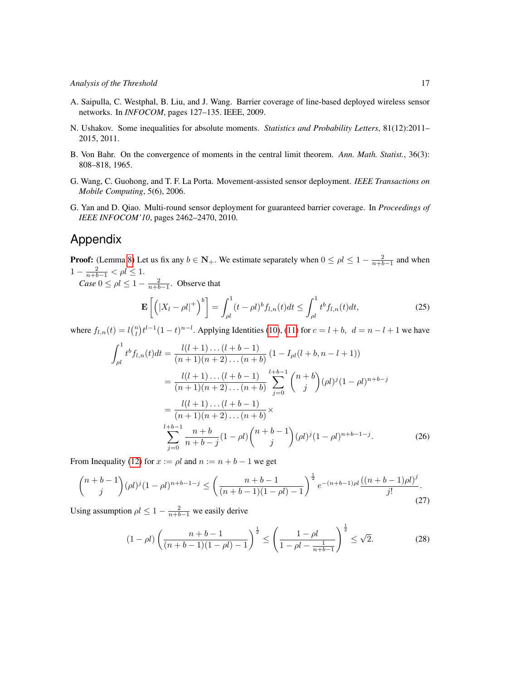- <span id="page-16-1"></span>A. Saipulla, C. Westphal, B. Liu, and J. Wang. Barrier coverage of line-based deployed wireless sensor networks. In *INFOCOM*, pages 127–135. IEEE, 2009.
- <span id="page-16-4"></span>N. Ushakov. Some inequalities for absolute moments. *Statistics and Probability Letters*, 81(12):2011– 2015, 2011.
- <span id="page-16-3"></span>B. Von Bahr. On the convergence of moments in the central limit theorem. *Ann. Math. Statist.*, 36(3): 808–818, 1965.
- <span id="page-16-0"></span>G. Wang, C. Guohong, and T. F. La Porta. Movement-assisted sensor deployment. *IEEE Transactions on Mobile Computing*, 5(6), 2006.
- <span id="page-16-2"></span>G. Yan and D. Qiao. Multi-round sensor deployment for guaranteed barrier coverage. In *Proceedings of IEEE INFOCOM'10*, pages 2462–2470, 2010.

# Appendix

**Proof:** (Lemma [8\)](#page-7-0) Let us fix any  $b \in \mathbb{N}_+$ . We estimate separately when  $0 \le \rho l \le 1 - \frac{2}{n+b-1}$  and when  $1 - \frac{2}{n+b-1} < \rho l \leq 1.$ 

*Case*  $0 \le \rho l \le 1 - \frac{2}{n+b-1}$ . Observe that

<span id="page-16-5"></span>
$$
\mathbf{E}\left[\left(|X_l - \rho l|^+\right)^b\right] = \int_{\rho l}^1 (t - \rho l)^b f_{l,n}(t)dt \le \int_{\rho l}^1 t^b f_{l,n}(t)dt,\tag{25}
$$

where  $f_{l,n}(t) = l {n \choose l} t^{l-1} (1-t)^{n-l}$ . Applying Identities [\(10\)](#page-6-1), [\(11\)](#page-6-2) for  $c = l + b$ ,  $d = n - l + 1$  we have

$$
\int_{\rho l}^{1} t^{b} f_{l,n}(t) dt = \frac{l(l+1)\dots(l+b-1)}{(n+1)(n+2)\dots(n+b)} (1 - I_{\rho l}(l+b, n-l+1))
$$
  
\n
$$
= \frac{l(l+1)\dots(l+b-1)}{(n+1)(n+2)\dots(n+b)} \sum_{j=0}^{l+b-1} {n+b \choose j} (\rho l)^{j} (1 - \rho l)^{n+b-j}
$$
  
\n
$$
= \frac{l(l+1)\dots(l+b-1)}{(n+1)(n+2)\dots(n+b)} \times
$$
  
\n
$$
\sum_{j=0}^{l+b-1} \frac{n+b}{n+b-j} (1 - \rho l) {n+b-1 \choose j} (\rho l)^{j} (1 - \rho l)^{n+b-1-j}.
$$
 (26)

From Inequality [\(12\)](#page-6-3) for  $x := \rho l$  and  $n := n + b - 1$  we get

$$
\binom{n+b-1}{j} (\rho l)^j (1-\rho l)^{n+b-1-j} \le \left( \frac{n+b-1}{(n+b-1)(1-\rho l)-1} \right)^{\frac{1}{2}} e^{-(n+b-1)\rho l} \frac{((n+b-1)\rho l)^j}{j!}.
$$
\n(27)

Using assumption  $\rho l \leq 1 - \frac{2}{n+b-1}$  we easily derive

$$
(1 - \rho l) \left( \frac{n + b - 1}{(n + b - 1)(1 - \rho l) - 1} \right)^{\frac{1}{2}} \le \left( \frac{1 - \rho l}{1 - \rho l - \frac{1}{n + b - 1}} \right)^{\frac{1}{2}} \le \sqrt{2}.
$$
 (28)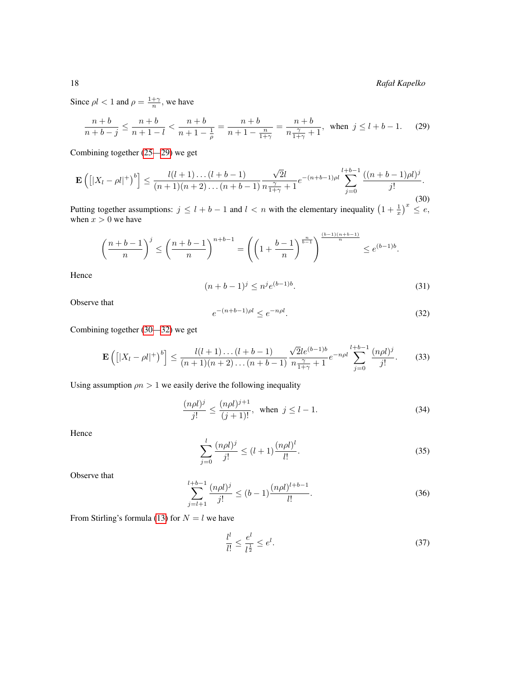18 *Rafał Kapelko*

Since  $\rho l < 1$  and  $\rho = \frac{1+\gamma}{n}$ , we have

<span id="page-17-1"></span><span id="page-17-0"></span>
$$
\frac{n+b}{n+b-j} \le \frac{n+b}{n+1-l} < \frac{n+b}{n+1-\frac{1}{\rho}} = \frac{n+b}{n+1-\frac{n}{1+\gamma}} = \frac{n+b}{n\frac{\gamma}{1+\gamma}+1}, \text{ when } j \le l+b-1. \tag{29}
$$

Combining together [\(25—](#page-16-5)[29\)](#page-17-0) we get

$$
\mathbf{E}\left(\left[|X_l - \rho l|^+\right)^b\right] \le \frac{l(l+1)\dots(l+b-1)}{(n+1)(n+2)\dots(n+b-1)} \frac{\sqrt{2}l}{n\frac{\gamma}{1+\gamma}+1} e^{-(n+b-1)\rho l} \sum_{j=0}^{l+b-1} \frac{((n+b-1)\rho l)^j}{j!}.
$$
\n(30)

Putting together assumptions:  $j \leq l + b - 1$  and  $l < n$  with the elementary inequality  $(1 + \frac{1}{x})^x \leq e$ , when  $x > 0$  we have

$$
\left(\frac{n+b-1}{n}\right)^j \le \left(\frac{n+b-1}{n}\right)^{n+b-1} = \left(\left(1+\frac{b-1}{n}\right)^{\frac{n}{b-1}}\right)^{\frac{(b-1)(n+b-1)}{n}} \le e^{(b-1)b}.
$$

Hence

$$
(n+b-1)^j \le n^j e^{(b-1)b}.\tag{31}
$$

<span id="page-17-2"></span>Observe that

<span id="page-17-3"></span>
$$
e^{-(n+b-1)\rho l} \le e^{-n\rho l}.\tag{32}
$$

Combining together [\(30—](#page-17-1)[32\)](#page-17-2) we get

$$
\mathbf{E}\left(\left[|X_l - \rho l|^+\right)^b\right] \le \frac{l(l+1)\dots(l+b-1)}{(n+1)(n+2)\dots(n+b-1)} \frac{\sqrt{2}le^{(b-1)b}}{n\frac{\gamma}{1+\gamma}+1} e^{-n\rho l} \sum_{j=0}^{l+b-1} \frac{(n\rho l)^j}{j!}.\tag{33}
$$

Using assumption  $\rho n > 1$  we easily derive the following inequality

$$
\frac{(n\rho l)^j}{j!} \le \frac{(n\rho l)^{j+1}}{(j+1)!}, \text{ when } j \le l-1.
$$
 (34)

Hence

$$
\sum_{j=0}^{l} \frac{(n\rho l)^j}{j!} \le (l+1) \frac{(n\rho l)^l}{l!}.
$$
\n(35)

Observe that

$$
\sum_{j=l+1}^{l+b-1} \frac{(n\rho l)^j}{j!} \le (b-1) \frac{(n\rho l)^{l+b-1}}{l!}.
$$
\n(36)

From Stirling's formula [\(13\)](#page-6-4) for  $N = l$  we have

<span id="page-17-4"></span>
$$
\frac{l^l}{l!} \le \frac{e^l}{l^{\frac{1}{2}}} \le e^l. \tag{37}
$$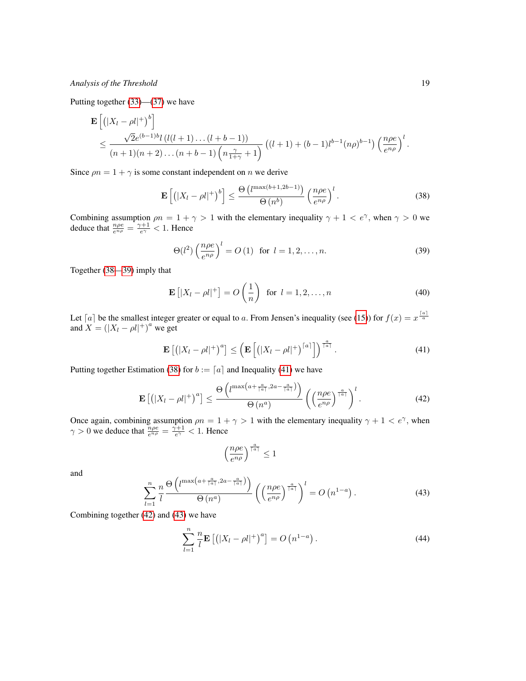Putting together [\(33\)](#page-17-3)—[\(37\)](#page-17-4) we have

$$
\mathbf{E}\left[\left(|X_l - \rho l|^+\right)^b\right] \le \frac{\sqrt{2}e^{(b-1)b}l\left(l(l+1)\dots(l+b-1)\right)}{(n+1)(n+2)\dots(n+b-1)\left(n\frac{\gamma}{1+\gamma}+1\right)}\left((l+1)+(b-1)l^{b-1}(n\rho)^{b-1}\right)\left(\frac{n\rho e}{e^{n\rho}}\right)^l.
$$

Since  $\rho n = 1 + \gamma$  is some constant independent on *n* we derive

<span id="page-18-0"></span>
$$
\mathbf{E}\left[\left(|X_l - \rho l|^+\right)^b\right] \le \frac{\Theta\left(l^{\max(b+1,2b-1)}\right)}{\Theta\left(n^b\right)} \left(\frac{n\rho e}{e^{n\rho}}\right)^l. \tag{38}
$$

Combining assumption  $\rho n = 1 + \gamma > 1$  with the elementary inequality  $\gamma + 1 < e^{\gamma}$ , when  $\gamma > 0$  we deduce that  $\frac{n\rho e}{e^{n\rho}} = \frac{\gamma + 1}{e^{\gamma}} < 1$ . Hence

<span id="page-18-1"></span>
$$
\Theta(l^2) \left(\frac{n\rho e}{e^{n\rho}}\right)^l = O\left(1\right) \text{ for } l = 1, 2, \dots, n. \tag{39}
$$

Together [\(38—](#page-18-0)[39\)](#page-18-1) imply that

<span id="page-18-5"></span>
$$
\mathbf{E}\left[|X_l - \rho l|^+\right] = O\left(\frac{1}{n}\right) \text{ for } l = 1, 2, \dots, n \tag{40}
$$

Let [a] be the smallest integer greater or equal to a. From Jensen's inequality (see [\(15\)](#page-6-5)) for  $f(x) = x^{\frac{\lceil a \rceil}{4}}$ and  $X = (|X_l - \rho l|^+)^a$  we get

<span id="page-18-2"></span>
$$
\mathbf{E}\left[\left(|X_l - \rho l|^+\right)^a\right] \le \left(\mathbf{E}\left[\left(|X_l - \rho l|^+\right)^{[a]}\right]\right)^{\frac{a}{[a]}}.\tag{41}
$$

Putting together Estimation [\(38\)](#page-18-0) for  $b := [a]$  and Inequality [\(41\)](#page-18-2) we have

$$
\mathbf{E}\left[\left(|X_l - \rho l|^+\right)^a\right] \le \frac{\Theta\left(l^{\max\left(a + \frac{a}{\lceil a \rceil}, 2a - \frac{a}{\lceil a \rceil}\right)}\right)}{\Theta\left(n^a\right)} \left(\left(\frac{n\rho e}{e^{n\rho}}\right)^{\frac{a}{\lceil a \rceil}}\right)^l. \tag{42}
$$

Once again, combining assumption  $\rho n = 1 + \gamma > 1$  with the elementary inequality  $\gamma + 1 < e^{\gamma}$ , when  $\gamma > 0$  we deduce that  $\frac{n\rho e}{e^{n\rho}} = \frac{\gamma + 1}{e^{\gamma}} < 1$ . Hence

<span id="page-18-3"></span>
$$
\left(\frac{n\rho e}{e^{n\rho}}\right)^{\frac{a}{\lceil a \rceil}} \leq 1
$$

<span id="page-18-4"></span>and

$$
\sum_{l=1}^{n} \frac{n}{l} \frac{\Theta\left(l^{\max\left(a + \frac{a}{\lceil a \rceil}, 2a - \frac{a}{\lceil a \rceil}\right)}\right)}{\Theta\left(n^a\right)} \left(\left(\frac{n\rho e}{e^{n\rho}}\right)^{\frac{a}{\lceil a \rceil}}\right)^l = O\left(n^{1-a}\right). \tag{43}
$$

Combining together [\(42\)](#page-18-3) and [\(43\)](#page-18-4) we have

<span id="page-18-6"></span>
$$
\sum_{l=1}^{n} \frac{n}{l} \mathbf{E} \left[ \left( |X_l - \rho l|^+ \right)^a \right] = O \left( n^{1-a} \right). \tag{44}
$$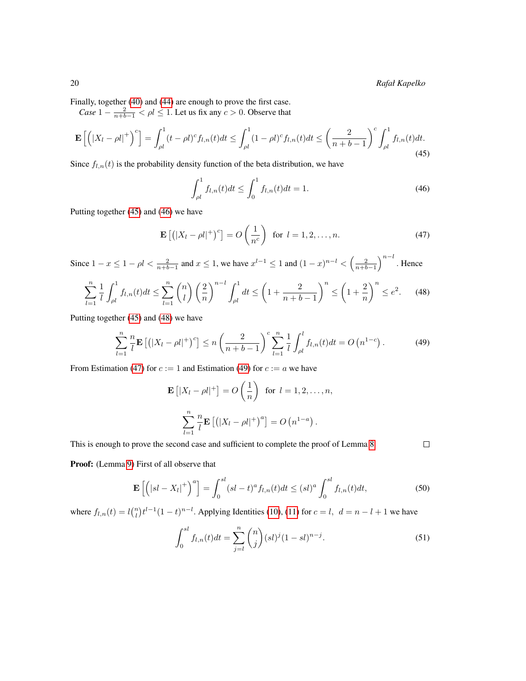Finally, together [\(40\)](#page-18-5) and [\(44\)](#page-18-6) are enough to prove the first case.

*Case*  $1 - \frac{2}{n+b-1} < \rho l \le 1$ . Let us fix any  $c > 0$ . Observe that

$$
\mathbf{E}\left[\left(|X_l - \rho l|^+\right)^c\right] = \int_{\rho l}^1 (t - \rho l)^c f_{l,n}(t)dt \le \int_{\rho l}^1 (1 - \rho l)^c f_{l,n}(t)dt \le \left(\frac{2}{n + b - 1}\right)^c \int_{\rho l}^1 f_{l,n}(t)dt.
$$
\n(45)

Since  $f_{l,n}(t)$  is the probability density function of the beta distribution, we have

<span id="page-19-3"></span><span id="page-19-1"></span><span id="page-19-0"></span>
$$
\int_{\rho l}^{1} f_{l,n}(t)dt \le \int_{0}^{1} f_{l,n}(t)dt = 1.
$$
 (46)

Putting together [\(45\)](#page-19-0) and [\(46\)](#page-19-1) we have

$$
\mathbf{E}\left[\left(|X_l - \rho l|^+\right)^c\right] = O\left(\frac{1}{n^c}\right) \text{ for } l = 1, 2, \dots, n. \tag{47}
$$

Since  $1-x \leq 1-\rho l < \frac{2}{n+b-1}$  and  $x \leq 1$ , we have  $x^{l-1} \leq 1$  and  $(1-x)^{n-l} < (\frac{2}{n+b-1})^{n-l}$ . Hence

$$
\sum_{l=1}^{n} \frac{1}{l} \int_{\rho l}^{1} f_{l,n}(t) dt \le \sum_{l=1}^{n} {n \choose l} \left(\frac{2}{n}\right)^{n-l} \int_{\rho l}^{1} dt \le \left(1 + \frac{2}{n+b-1}\right)^{n} \le \left(1 + \frac{2}{n}\right)^{n} \le e^{2}.
$$
 (48)

Putting together [\(45\)](#page-19-0) and [\(48\)](#page-19-2) we have

$$
\sum_{l=1}^{n} \frac{n}{l} \mathbf{E} \left[ \left( |X_l - \rho l|^+ \right)^c \right] \le n \left( \frac{2}{n + b - 1} \right)^c \sum_{l=1}^{n} \frac{1}{l} \int_{\rho l}^{l} f_{l,n}(t) dt = O \left( n^{1 - c} \right). \tag{49}
$$

From Estimation [\(47\)](#page-19-3) for  $c := 1$  and Estimation [\(49\)](#page-19-4) for  $c := a$  we have

<span id="page-19-4"></span>
$$
\mathbf{E}\left[|X_l - \rho l|^+\right] = O\left(\frac{1}{n}\right) \text{ for } l = 1, 2, \dots, n,
$$

$$
\sum_{l=1}^n \frac{n}{l} \mathbf{E}\left[\left(|X_l - \rho l|^+\right)^a\right] = O\left(n^{1-a}\right).
$$

This is enough to prove the second case and sufficient to complete the proof of Lemma [8.](#page-7-0)

<span id="page-19-2"></span> $\Box$ 

Proof: (Lemma [9\)](#page-7-1) First of all observe that

$$
\mathbf{E}\left[\left(|sl-X_l|^+\right)^a\right] = \int_0^{sl} (sl-t)^a f_{l,n}(t)dt \le (sl)^a \int_0^{sl} f_{l,n}(t)dt,\tag{50}
$$

where  $f_{l,n}(t) = l{n \choose l} t^{l-1} (1-t)^{n-l}$ . Applying Identities [\(10\)](#page-6-1), [\(11\)](#page-6-2) for  $c = l$ ,  $d = n - l + 1$  we have

<span id="page-19-5"></span>
$$
\int_0^{sl} f_{l,n}(t)dt = \sum_{j=l}^n \binom{n}{j} (sl)^j (1 - sl)^{n-j}.
$$
 (51)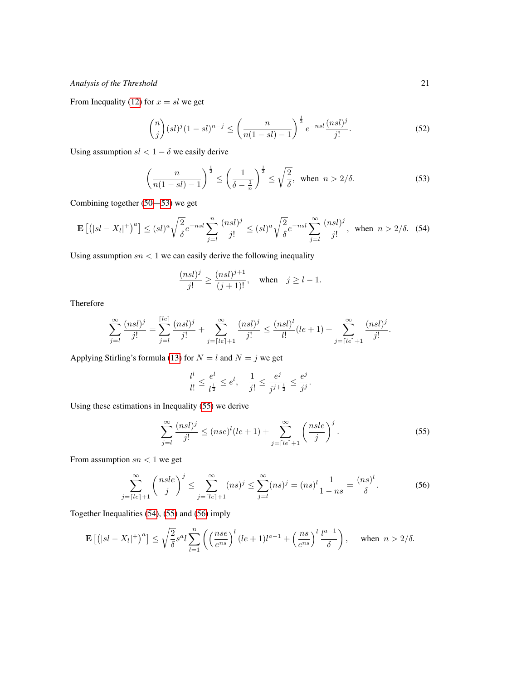From Inequality [\(12\)](#page-6-3) for  $x = sl$  we get

$$
\binom{n}{j} (sl)^j (1 - sl)^{n-j} \le \left(\frac{n}{n(1 - sl) - 1}\right)^{\frac{1}{2}} e^{-nsl} \frac{(nsl)^j}{j!}.
$$
 (52)

Using assumption  $sl < 1 - \delta$  we easily derive

<span id="page-20-2"></span><span id="page-20-0"></span>
$$
\left(\frac{n}{n(1-sl)-1}\right)^{\frac{1}{2}} \le \left(\frac{1}{\delta - \frac{1}{n}}\right)^{\frac{1}{2}} \le \sqrt{\frac{2}{\delta}}, \text{ when } n > 2/\delta. \tag{53}
$$

Combining together [\(50—](#page-19-5)[53\)](#page-20-0) we get

$$
\mathbf{E}\left[\left(|sl-X_l|^+\right)^a\right] \le (sl)^a \sqrt{\frac{2}{\delta}} e^{-nsl} \sum_{j=l}^n \frac{(nsl)^j}{j!} \le (sl)^a \sqrt{\frac{2}{\delta}} e^{-nsl} \sum_{j=l}^\infty \frac{(nsl)^j}{j!}, \text{ when } n > 2/\delta. \tag{54}
$$

Using assumption  $sn < 1$  we can easily derive the following inequality

$$
\frac{(nsl)^j}{j!} \ge \frac{(nsl)^{j+1}}{(j+1)!}, \quad \text{when} \quad j \ge l-1.
$$

Therefore

<span id="page-20-1"></span>
$$
\sum_{j=l}^{\infty} \frac{(nsl)^j}{j!} = \sum_{j=l}^{\lceil le \rceil} \frac{(nsl)^j}{j!} + \sum_{j=\lceil le \rceil+1}^{\infty} \frac{(nsl)^j}{j!} \le \frac{(nsl)^l}{l!} (le+1) + \sum_{j=\lceil le \rceil+1}^{\infty} \frac{(nsl)^j}{j!}.
$$

Applying Stirling's formula [\(13\)](#page-6-4) for  $N = l$  and  $N = j$  we get

$$
\frac{l^l}{l!} \le \frac{e^l}{l^{\frac{1}{2}}} \le e^l, \quad \frac{1}{j!} \le \frac{e^j}{j^{j+\frac{1}{2}}} \le \frac{e^j}{j^j}.
$$

Using these estimations in Inequality [\(55\)](#page-20-1) we derive

<span id="page-20-4"></span><span id="page-20-3"></span>
$$
\sum_{j=l}^{\infty} \frac{(nsl)^j}{j!} \le (nse)^l (le+1) + \sum_{j=\lceil le \rceil+1}^{\infty} \left(\frac{nse}{j}\right)^j.
$$
\n(55)

From assumption  $sn < 1$  we get

$$
\sum_{j=\lceil le \rceil+1}^{\infty} \left( \frac{nsle}{j} \right)^j \le \sum_{j=\lceil le \rceil+1}^{\infty} (ns)^j \le \sum_{j=l}^{\infty} (ns)^j = (ns)^l \frac{1}{1-ns} = \frac{(ns)^l}{\delta}.
$$
 (56)

Together Inequalities [\(54\)](#page-20-2), [\(55\)](#page-20-1) and [\(56\)](#page-20-3) imply

$$
\mathbf{E}\left[\left(|sl-X_l|^+\right)^a\right] \leq \sqrt{\frac{2}{\delta}}s^a l \sum_{l=1}^n \left(\left(\frac{nse}{e^{ns}}\right)^l (le+1)l^{a-1} + \left(\frac{ns}{e^{ns}}\right)^l \frac{l^{a-1}}{\delta}\right), \quad \text{when } n > 2/\delta.
$$